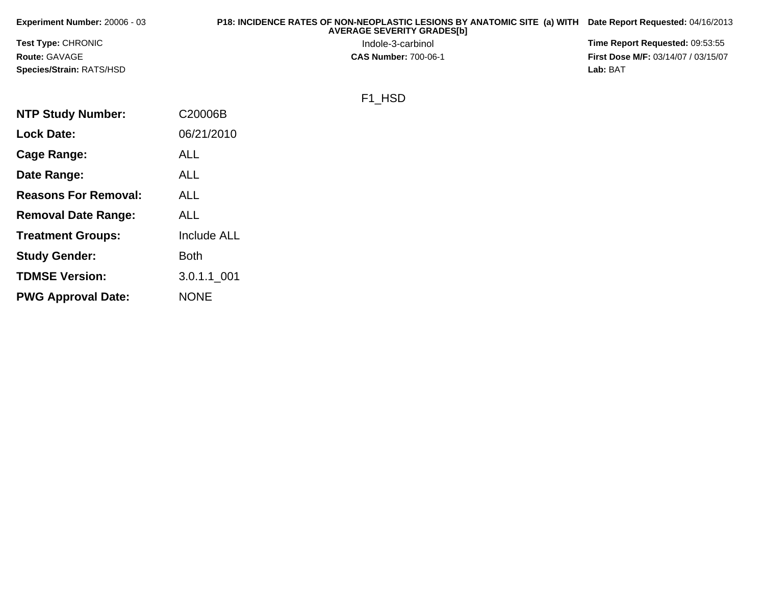| Experiment Number: 20006 - 03 | P18: INCIDENCE RATES OF NON-NEOPLASTIC LESIONS BY ANATOMIC SITE (a) WITH<br><b>AVERAGE SEVERITY GRADES[b]</b> | Date Report Requested: 04/16/2013          |
|-------------------------------|---------------------------------------------------------------------------------------------------------------|--------------------------------------------|
| <b>Test Type: CHRONIC</b>     | Indole-3-carbinol                                                                                             | Time Report Requested: 09:53:55            |
| <b>Route: GAVAGE</b>          | <b>CAS Number: 700-06-1</b>                                                                                   | <b>First Dose M/F: 03/14/07 / 03/15/07</b> |
| Species/Strain: RATS/HSD      |                                                                                                               | Lab: BAT                                   |
|                               | F1 HSD                                                                                                        |                                            |
| <b>NTP Study Number:</b>      | C20006B                                                                                                       |                                            |

**Lock Date:**

**Cage Range:**

**Date Range:**

**Reasons For Removal:**

**Removal Date Range:**

**Treatment Groups:**

**Study Gender:**

**TDMSE Version:**

**PWG Approval Date:**

06/21/2010

Include ALL

3.0.1.1\_001

ALL

ALL

ALL

ALL

Both

NONE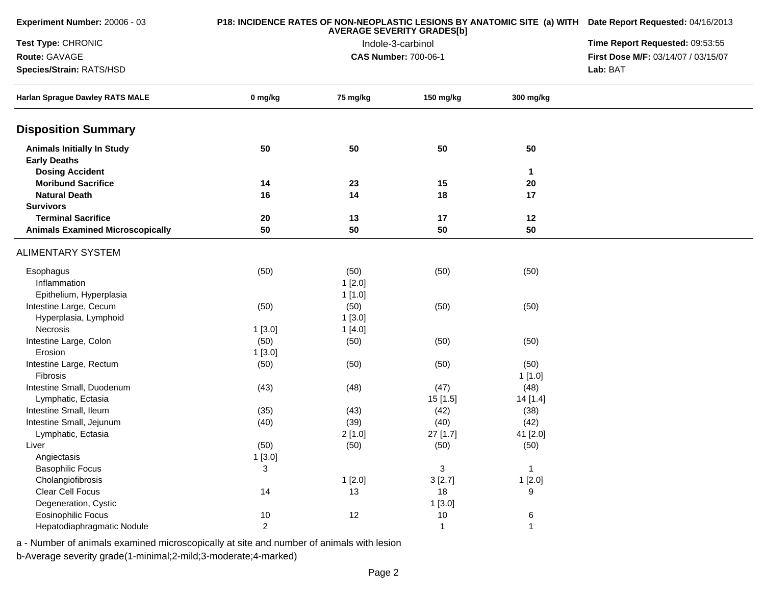| Experiment Number: 20006 - 03                            |                | P18: INCIDENCE RATES OF NON-NEOPLASTIC LESIONS BY ANATOMIC SITE (a) WITH Date Report Requested: 04/16/2013<br>Time Report Requested: 09:53:55 |                             |              |                                     |
|----------------------------------------------------------|----------------|-----------------------------------------------------------------------------------------------------------------------------------------------|-----------------------------|--------------|-------------------------------------|
| Test Type: CHRONIC                                       |                |                                                                                                                                               |                             |              |                                     |
| Route: GAVAGE                                            |                |                                                                                                                                               | <b>CAS Number: 700-06-1</b> |              | First Dose M/F: 03/14/07 / 03/15/07 |
| Species/Strain: RATS/HSD                                 |                |                                                                                                                                               |                             |              | Lab: BAT                            |
| <b>Harlan Sprague Dawley RATS MALE</b>                   | 0 mg/kg        | 75 mg/kg                                                                                                                                      | 150 mg/kg                   | 300 mg/kg    |                                     |
| <b>Disposition Summary</b>                               |                |                                                                                                                                               |                             |              |                                     |
| <b>Animals Initially In Study</b><br><b>Early Deaths</b> | 50             | 50                                                                                                                                            | 50                          | 50           |                                     |
| <b>Dosing Accident</b>                                   |                |                                                                                                                                               |                             | 1            |                                     |
| <b>Moribund Sacrifice</b>                                | 14             | 23                                                                                                                                            | 15                          | 20           |                                     |
| <b>Natural Death</b>                                     | 16             | 14                                                                                                                                            | 18                          | 17           |                                     |
| <b>Survivors</b>                                         |                |                                                                                                                                               |                             |              |                                     |
| <b>Terminal Sacrifice</b>                                | 20             | 13                                                                                                                                            | 17                          | 12           |                                     |
| <b>Animals Examined Microscopically</b>                  | 50             | 50                                                                                                                                            | 50                          | 50           |                                     |
| <b>ALIMENTARY SYSTEM</b>                                 |                |                                                                                                                                               |                             |              |                                     |
| Esophagus                                                | (50)           | (50)                                                                                                                                          | (50)                        | (50)         |                                     |
| Inflammation                                             |                | 1[2.0]                                                                                                                                        |                             |              |                                     |
| Epithelium, Hyperplasia                                  |                | 1[1.0]                                                                                                                                        |                             |              |                                     |
| Intestine Large, Cecum                                   | (50)           | (50)                                                                                                                                          | (50)                        | (50)         |                                     |
| Hyperplasia, Lymphoid                                    |                | 1[3.0]                                                                                                                                        |                             |              |                                     |
| Necrosis                                                 | 1[3.0]         | 1[4.0]                                                                                                                                        |                             |              |                                     |
| Intestine Large, Colon                                   | (50)           | (50)                                                                                                                                          | (50)                        | (50)         |                                     |
| Erosion                                                  | 1[3.0]         |                                                                                                                                               |                             |              |                                     |
| Intestine Large, Rectum                                  | (50)           | (50)                                                                                                                                          | (50)                        | (50)         |                                     |
| Fibrosis                                                 |                |                                                                                                                                               |                             | 1[1.0]       |                                     |
| Intestine Small, Duodenum                                | (43)           | (48)                                                                                                                                          | (47)                        | (48)         |                                     |
| Lymphatic, Ectasia                                       |                |                                                                                                                                               | 15 [1.5]                    | 14 [1.4]     |                                     |
| Intestine Small, Ileum                                   | (35)           | (43)                                                                                                                                          | (42)                        | (38)         |                                     |
| Intestine Small, Jejunum                                 | (40)           | (39)                                                                                                                                          | (40)                        | (42)         |                                     |
| Lymphatic, Ectasia                                       |                | 2[1.0]                                                                                                                                        | 27 [1.7]                    | 41 [2.0]     |                                     |
| Liver                                                    | (50)           | (50)                                                                                                                                          | (50)                        | (50)         |                                     |
| Angiectasis                                              | 1[3.0]         |                                                                                                                                               |                             |              |                                     |
| <b>Basophilic Focus</b>                                  | $\mathfrak{S}$ |                                                                                                                                               | 3                           | $\mathbf 1$  |                                     |
| Cholangiofibrosis                                        |                | 1[2.0]                                                                                                                                        | 3[2.7]                      | 1[2.0]       |                                     |
| Clear Cell Focus                                         | 14             | 13                                                                                                                                            | 18                          | 9            |                                     |
| Degeneration, Cystic                                     |                |                                                                                                                                               | 1[3.0]                      |              |                                     |
| <b>Eosinophilic Focus</b>                                | 10             | 12                                                                                                                                            | 10                          | 6            |                                     |
| Hepatodiaphragmatic Nodule                               | $\overline{2}$ |                                                                                                                                               | $\mathbf 1$                 | $\mathbf{1}$ |                                     |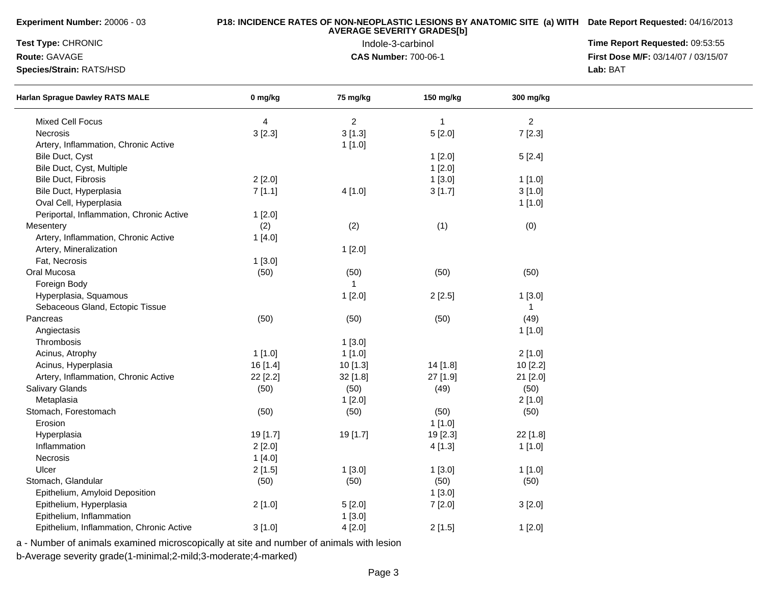| Experiment Number: 20006 - 03            |          | P18: INCIDENCE RATES OF NON-NEOPLASTIC LESIONS BY ANATOMIC SITE (a) WITH Date Report Requested: 04/16/2013 |                             |                |                                     |
|------------------------------------------|----------|------------------------------------------------------------------------------------------------------------|-----------------------------|----------------|-------------------------------------|
| Test Type: CHRONIC                       |          | Time Report Requested: 09:53:55                                                                            |                             |                |                                     |
| Route: GAVAGE                            |          |                                                                                                            | <b>CAS Number: 700-06-1</b> |                | First Dose M/F: 03/14/07 / 03/15/07 |
| Species/Strain: RATS/HSD                 |          |                                                                                                            |                             |                | Lab: BAT                            |
| <b>Harlan Sprague Dawley RATS MALE</b>   | 0 mg/kg  | 75 mg/kg                                                                                                   | 150 mg/kg                   | 300 mg/kg      |                                     |
| Mixed Cell Focus                         | 4        | $\overline{2}$                                                                                             | $\overline{1}$              | $\overline{2}$ |                                     |
| Necrosis                                 | 3 [2.3]  | 3[1.3]                                                                                                     | 5[2.0]                      | 7 [2.3]        |                                     |
| Artery, Inflammation, Chronic Active     |          | 1[1.0]                                                                                                     |                             |                |                                     |
| Bile Duct, Cyst                          |          |                                                                                                            | 1[2.0]                      | 5[2.4]         |                                     |
| Bile Duct, Cyst, Multiple                |          |                                                                                                            | 1[2.0]                      |                |                                     |
| Bile Duct, Fibrosis                      | 2[2.0]   |                                                                                                            | 1[3.0]                      | 1[1.0]         |                                     |
| Bile Duct, Hyperplasia                   | 7[1.1]   | 4[1.0]                                                                                                     | 3[1.7]                      | 3[1.0]         |                                     |
| Oval Cell, Hyperplasia                   |          |                                                                                                            |                             | 1[1.0]         |                                     |
| Periportal, Inflammation, Chronic Active | 1[2.0]   |                                                                                                            |                             |                |                                     |
| Mesentery                                | (2)      | (2)                                                                                                        | (1)                         | (0)            |                                     |
| Artery, Inflammation, Chronic Active     | 1[4.0]   |                                                                                                            |                             |                |                                     |
| Artery, Mineralization                   |          | 1[2.0]                                                                                                     |                             |                |                                     |
| Fat, Necrosis                            | 1[3.0]   |                                                                                                            |                             |                |                                     |
| Oral Mucosa                              | (50)     | (50)                                                                                                       | (50)                        | (50)           |                                     |
| Foreign Body                             |          | 1                                                                                                          |                             |                |                                     |
| Hyperplasia, Squamous                    |          | 1[2.0]                                                                                                     | 2[2.5]                      | 1[3.0]         |                                     |
| Sebaceous Gland, Ectopic Tissue          |          |                                                                                                            |                             | $\mathbf{1}$   |                                     |
| Pancreas                                 | (50)     | (50)                                                                                                       | (50)                        | (49)           |                                     |
| Angiectasis                              |          |                                                                                                            |                             | 1 [1.0]        |                                     |
| Thrombosis                               |          | 1[3.0]                                                                                                     |                             |                |                                     |
| Acinus, Atrophy                          | 1[1.0]   | 1[1.0]                                                                                                     |                             | 2[1.0]         |                                     |
| Acinus, Hyperplasia                      | 16[1.4]  | 10[1.3]                                                                                                    | 14 [1.8]                    | 10 [2.2]       |                                     |
| Artery, Inflammation, Chronic Active     | 22 [2.2] | 32 [1.8]                                                                                                   | 27 [1.9]                    | 21 [2.0]       |                                     |
| Salivary Glands                          | (50)     | (50)                                                                                                       | (49)                        | (50)           |                                     |
| Metaplasia                               |          | 1[2.0]                                                                                                     |                             | 2[1.0]         |                                     |
| Stomach, Forestomach                     | (50)     | (50)                                                                                                       | (50)                        | (50)           |                                     |
| Erosion                                  |          |                                                                                                            | 1[1.0]                      |                |                                     |
|                                          |          |                                                                                                            |                             |                |                                     |
| Hyperplasia<br>Inflammation              | 19 [1.7] | 19 [1.7]                                                                                                   | 19 [2.3]                    | 22 [1.8]       |                                     |
|                                          | 2[2.0]   |                                                                                                            | 4 [1.3]                     | 1 [1.0]        |                                     |
| Necrosis                                 | 1[4.0]   |                                                                                                            |                             |                |                                     |
| Ulcer                                    | 2[1.5]   | 1[3.0]                                                                                                     | 1[3.0]                      | 1[1.0]         |                                     |
| Stomach, Glandular                       | (50)     | (50)                                                                                                       | (50)                        | (50)           |                                     |
| Epithelium, Amyloid Deposition           |          |                                                                                                            | 1[3.0]                      |                |                                     |
| Epithelium, Hyperplasia                  | 2[1.0]   | 5[2.0]                                                                                                     | 7 [2.0]                     | 3[2.0]         |                                     |
| Epithelium, Inflammation                 |          | 1[3.0]                                                                                                     |                             |                |                                     |
| Epithelium, Inflammation, Chronic Active | 3[1.0]   | 4 [2.0]                                                                                                    | 2[1.5]                      | 1[2.0]         |                                     |

b-Average severity grade(1-minimal;2-mild;3-moderate;4-marked)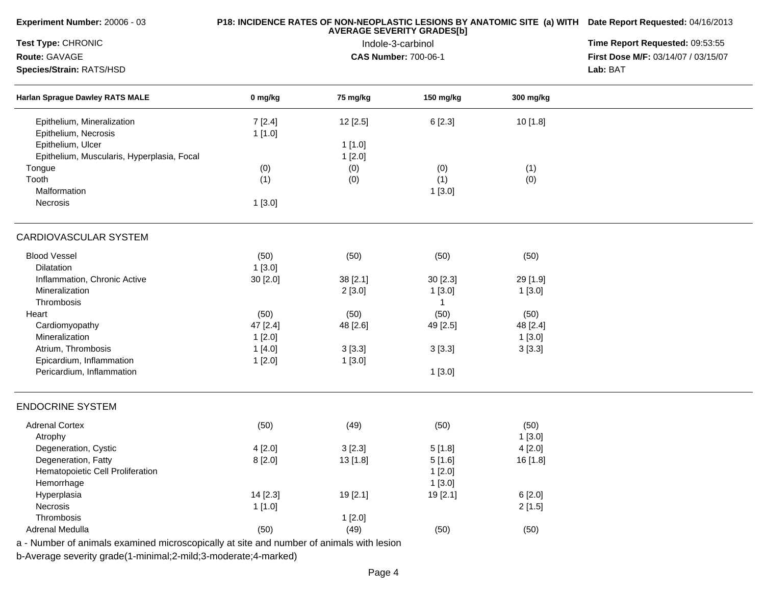| Experiment Number: 20006 - 03                                                            |          | P18: INCIDENCE RATES OF NON-NEOPLASTIC LESIONS BY ANATOMIC SITE (a) WITH Date Report Requested: 04/16/2013 |                                 |           |                                     |
|------------------------------------------------------------------------------------------|----------|------------------------------------------------------------------------------------------------------------|---------------------------------|-----------|-------------------------------------|
| Test Type: CHRONIC                                                                       |          | <b>AVERAGE SEVERITY GRADES[b]</b><br>Indole-3-carbinol                                                     | Time Report Requested: 09:53:55 |           |                                     |
| Route: GAVAGE                                                                            |          |                                                                                                            | <b>CAS Number: 700-06-1</b>     |           | First Dose M/F: 03/14/07 / 03/15/07 |
| Species/Strain: RATS/HSD                                                                 |          |                                                                                                            |                                 |           | Lab: BAT                            |
| Harlan Sprague Dawley RATS MALE                                                          | 0 mg/kg  | 75 mg/kg                                                                                                   | 150 mg/kg                       | 300 mg/kg |                                     |
| Epithelium, Mineralization                                                               | 7[2.4]   | 12 [2.5]                                                                                                   | 6 [2.3]                         | 10 [1.8]  |                                     |
| Epithelium, Necrosis                                                                     | 1 [1.0]  |                                                                                                            |                                 |           |                                     |
| Epithelium, Ulcer                                                                        |          | 1[1.0]                                                                                                     |                                 |           |                                     |
| Epithelium, Muscularis, Hyperplasia, Focal                                               |          | 1[2.0]                                                                                                     |                                 |           |                                     |
| Tongue                                                                                   | (0)      | (0)                                                                                                        | (0)                             | (1)       |                                     |
| Tooth                                                                                    | (1)      | (0)                                                                                                        | (1)                             | (0)       |                                     |
| Malformation                                                                             |          |                                                                                                            | 1[3.0]                          |           |                                     |
| Necrosis                                                                                 | 1[3.0]   |                                                                                                            |                                 |           |                                     |
| <b>CARDIOVASCULAR SYSTEM</b>                                                             |          |                                                                                                            |                                 |           |                                     |
| <b>Blood Vessel</b>                                                                      | (50)     | (50)                                                                                                       | (50)                            | (50)      |                                     |
| <b>Dilatation</b>                                                                        | 1[3.0]   |                                                                                                            |                                 |           |                                     |
| Inflammation, Chronic Active                                                             | 30 [2.0] | 38 [2.1]                                                                                                   | 30 [2.3]                        | 29 [1.9]  |                                     |
| Mineralization                                                                           |          | 2[3.0]                                                                                                     | 1[3.0]                          | 1[3.0]    |                                     |
| Thrombosis                                                                               |          |                                                                                                            |                                 |           |                                     |
| Heart                                                                                    | (50)     | (50)                                                                                                       | (50)                            | (50)      |                                     |
| Cardiomyopathy                                                                           | 47 [2.4] | 48 [2.6]                                                                                                   | 49 [2.5]                        | 48 [2.4]  |                                     |
| Mineralization                                                                           | 1[2.0]   |                                                                                                            |                                 | 1[3.0]    |                                     |
| Atrium, Thrombosis                                                                       | 1[4.0]   | 3[3.3]                                                                                                     | 3[3.3]                          | 3[3.3]    |                                     |
| Epicardium, Inflammation                                                                 | 1[2.0]   | 1[3.0]                                                                                                     |                                 |           |                                     |
| Pericardium, Inflammation                                                                |          |                                                                                                            | 1[3.0]                          |           |                                     |
| <b>ENDOCRINE SYSTEM</b>                                                                  |          |                                                                                                            |                                 |           |                                     |
| <b>Adrenal Cortex</b>                                                                    | (50)     | (49)                                                                                                       | (50)                            | (50)      |                                     |
| Atrophy                                                                                  |          |                                                                                                            |                                 | 1[3.0]    |                                     |
| Degeneration, Cystic                                                                     | 4[2.0]   | 3[2.3]                                                                                                     | 5[1.8]                          | 4[2.0]    |                                     |
| Degeneration, Fatty                                                                      | 8[2.0]   | 13 [1.8]                                                                                                   | 5[1.6]                          | 16 [1.8]  |                                     |
| Hematopoietic Cell Proliferation                                                         |          |                                                                                                            | 1[2.0]                          |           |                                     |
| Hemorrhage                                                                               |          |                                                                                                            | 1[3.0]                          |           |                                     |
| Hyperplasia                                                                              | 14 [2.3] | 19 [2.1]                                                                                                   | 19 [2.1]                        | 6[2.0]    |                                     |
| Necrosis                                                                                 | 1[1.0]   |                                                                                                            |                                 | 2[1.5]    |                                     |
| Thrombosis                                                                               |          | 1[2.0]                                                                                                     |                                 |           |                                     |
| <b>Adrenal Medulla</b>                                                                   | (50)     | (49)                                                                                                       | (50)                            | (50)      |                                     |
| a - Number of animals examined microscopically at site and number of animals with lesion |          |                                                                                                            |                                 |           |                                     |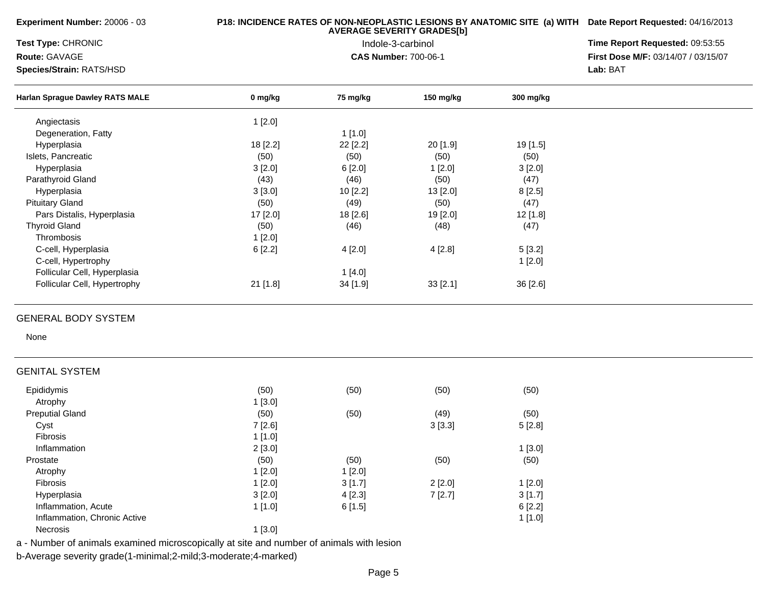**Experiment Number:** 20006 - 03

### **P18: INCIDENCE RATES OF NON-NEOPLASTIC LESIONS BY ANATOMIC SITE (a) WITH AVERAGE SEVERITY GRADES[b] Date Report Requested:** 04/16/2013

**Test Type:** CHRONIC

**Route:** GAVAGE

**Species/Strain:** RATS/HSD

 Indole-3-carbinol **Time Report Requested:** 09:53:55 **First Dose M/F:** 03/14/07 / 03/15/07<br>**Lab: BAT Lab:** BAT

| <b>Harlan Sprague Dawley RATS MALE</b> | 0 mg/kg    | 75 mg/kg | 150 $mg/kg$ | 300 mg/kg  |  |
|----------------------------------------|------------|----------|-------------|------------|--|
| Angiectasis                            | 1[2.0]     |          |             |            |  |
| Degeneration, Fatty                    |            | 1[1.0]   |             |            |  |
| Hyperplasia                            | 18 [2.2]   | 22 [2.2] | 20 [1.9]    | $19$ [1.5] |  |
| Islets, Pancreatic                     | (50)       | (50)     | (50)        | (50)       |  |
| Hyperplasia                            | 3[2.0]     | 6[2.0]   | 1[2.0]      | 3[2.0]     |  |
| Parathyroid Gland                      | (43)       | (46)     | (50)        | (47)       |  |
| Hyperplasia                            | 3[3.0]     | 10[2.2]  | 13 [2.0]    | 8[2.5]     |  |
| <b>Pituitary Gland</b>                 | (50)       | (49)     | (50)        | (47)       |  |
| Pars Distalis, Hyperplasia             | 17 [2.0]   | 18 [2.6] | 19 [2.0]    | $12$ [1.8] |  |
| <b>Thyroid Gland</b>                   | (50)       | (46)     | (48)        | (47)       |  |
| <b>Thrombosis</b>                      | 1[2.0]     |          |             |            |  |
| C-cell, Hyperplasia                    | 6[2.2]     | 4[2.0]   | 4[2.8]      | 5[3.2]     |  |
| C-cell, Hypertrophy                    |            |          |             | 1[2.0]     |  |
| Follicular Cell, Hyperplasia           |            | 1[4.0]   |             |            |  |
| Follicular Cell, Hypertrophy           | $21$ [1.8] | 34 [1.9] | 33[2.1]     | 36 [2.6]   |  |

### GENERAL BODY SYSTEM

None

# GENITAL SYSTEM

| Epididymis                   | (50)   | (50)    | (50)   | (50)   |
|------------------------------|--------|---------|--------|--------|
| Atrophy                      | 1[3.0] |         |        |        |
| <b>Preputial Gland</b>       | (50)   | (50)    | (49)   | (50)   |
| Cyst                         | 7[2.6] |         | 3[3.3] | 5[2.8] |
| <b>Fibrosis</b>              | 1[1.0] |         |        |        |
| Inflammation                 | 2[3.0] |         |        | 1[3.0] |
| Prostate                     | (50)   | (50)    | (50)   | (50)   |
| Atrophy                      | 1[2.0] | 1[2.0]  |        |        |
| <b>Fibrosis</b>              | 1[2.0] | 3[1.7]  | 2[2.0] | 1[2.0] |
| Hyperplasia                  | 3[2.0] | 4 [2.3] | 7[2.7] | 3[1.7] |
| Inflammation, Acute          | 1[1.0] | 6[1.5]  |        | 6[2.2] |
| Inflammation, Chronic Active |        |         |        | 1[1.0] |
| <b>Necrosis</b>              | 1[3.0] |         |        |        |

a - Number of animals examined microscopically at site and number of animals with lesion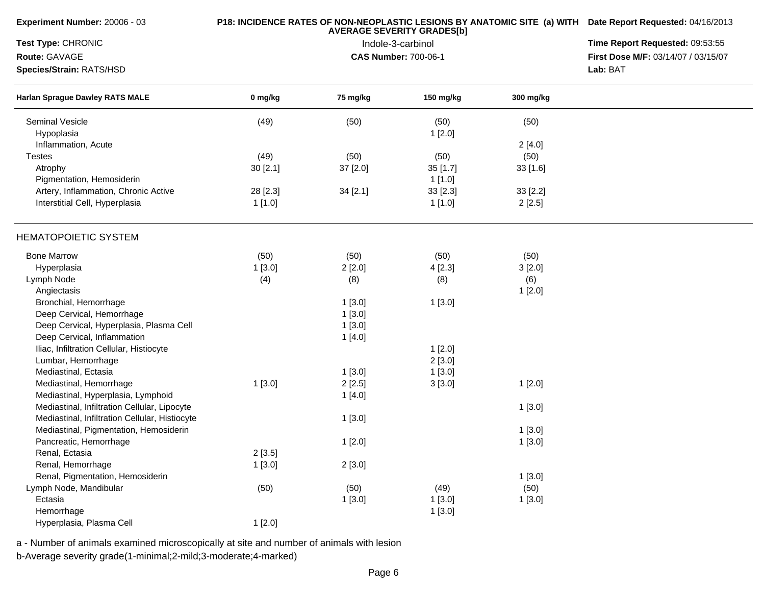| Experiment Number: 20006 - 03                  |          | P18: INCIDENCE RATES OF NON-NEOPLASTIC LESIONS BY ANATOMIC SITE (a) WITH Date Report Requested: 04/16/2013 |                             |           |                                     |
|------------------------------------------------|----------|------------------------------------------------------------------------------------------------------------|-----------------------------|-----------|-------------------------------------|
| Test Type: CHRONIC                             |          | Time Report Requested: 09:53:55                                                                            |                             |           |                                     |
| Route: GAVAGE                                  |          |                                                                                                            | <b>CAS Number: 700-06-1</b> |           | First Dose M/F: 03/14/07 / 03/15/07 |
| Species/Strain: RATS/HSD                       |          |                                                                                                            |                             |           | Lab: BAT                            |
| Harlan Sprague Dawley RATS MALE                | 0 mg/kg  | 75 mg/kg                                                                                                   | 150 mg/kg                   | 300 mg/kg |                                     |
| <b>Seminal Vesicle</b>                         | (49)     | (50)                                                                                                       | (50)                        | (50)      |                                     |
| Hypoplasia                                     |          |                                                                                                            | 1[2.0]                      |           |                                     |
| Inflammation, Acute                            |          |                                                                                                            |                             | 2[4.0]    |                                     |
| <b>Testes</b>                                  | (49)     | (50)                                                                                                       | (50)                        | (50)      |                                     |
| Atrophy                                        | 30 [2.1] | 37 [2.0]                                                                                                   | 35 [1.7]                    | 33[1.6]   |                                     |
| Pigmentation, Hemosiderin                      |          |                                                                                                            | 1[1.0]                      |           |                                     |
| Artery, Inflammation, Chronic Active           | 28 [2.3] | 34 [2.1]                                                                                                   | 33 [2.3]                    | 33 [2.2]  |                                     |
| Interstitial Cell, Hyperplasia                 | 1[1.0]   |                                                                                                            | 1[1.0]                      | 2[2.5]    |                                     |
| <b>HEMATOPOIETIC SYSTEM</b>                    |          |                                                                                                            |                             |           |                                     |
| <b>Bone Marrow</b>                             | (50)     | (50)                                                                                                       | (50)                        | (50)      |                                     |
| Hyperplasia                                    | 1[3.0]   | 2[2.0]                                                                                                     | 4[2.3]                      | 3[2.0]    |                                     |
| Lymph Node                                     | (4)      | (8)                                                                                                        | (8)                         | (6)       |                                     |
| Angiectasis                                    |          |                                                                                                            |                             | 1[2.0]    |                                     |
| Bronchial, Hemorrhage                          |          | 1[3.0]                                                                                                     | 1[3.0]                      |           |                                     |
| Deep Cervical, Hemorrhage                      |          | 1[3.0]                                                                                                     |                             |           |                                     |
| Deep Cervical, Hyperplasia, Plasma Cell        |          | 1[3.0]                                                                                                     |                             |           |                                     |
| Deep Cervical, Inflammation                    |          | 1[4.0]                                                                                                     |                             |           |                                     |
| Iliac, Infiltration Cellular, Histiocyte       |          |                                                                                                            | 1[2.0]                      |           |                                     |
| Lumbar, Hemorrhage                             |          |                                                                                                            | 2[3.0]                      |           |                                     |
| Mediastinal, Ectasia                           |          | 1[3.0]                                                                                                     | 1[3.0]                      |           |                                     |
| Mediastinal, Hemorrhage                        | 1[3.0]   | 2[2.5]                                                                                                     | 3[3.0]                      | 1[2.0]    |                                     |
| Mediastinal, Hyperplasia, Lymphoid             |          | 1[4.0]                                                                                                     |                             |           |                                     |
| Mediastinal, Infiltration Cellular, Lipocyte   |          |                                                                                                            |                             | 1[3.0]    |                                     |
| Mediastinal, Infiltration Cellular, Histiocyte |          | 1[3.0]                                                                                                     |                             |           |                                     |
| Mediastinal, Pigmentation, Hemosiderin         |          |                                                                                                            |                             | 1[3.0]    |                                     |
| Pancreatic, Hemorrhage                         |          | 1[2.0]                                                                                                     |                             |           |                                     |
| Renal, Ectasia                                 |          |                                                                                                            |                             | 1[3.0]    |                                     |
|                                                | 2[3.5]   |                                                                                                            |                             |           |                                     |
| Renal, Hemorrhage                              | 1[3.0]   | 2[3.0]                                                                                                     |                             |           |                                     |
| Renal, Pigmentation, Hemosiderin               |          |                                                                                                            |                             | 1[3.0]    |                                     |
| Lymph Node, Mandibular                         | (50)     | (50)                                                                                                       | (49)                        | (50)      |                                     |
| Ectasia                                        |          | 1[3.0]                                                                                                     | 1[3.0]                      | 1[3.0]    |                                     |
| Hemorrhage                                     |          |                                                                                                            | 1[3.0]                      |           |                                     |
| Hyperplasia, Plasma Cell                       | 1[2.0]   |                                                                                                            |                             |           |                                     |

b-Average severity grade(1-minimal;2-mild;3-moderate;4-marked)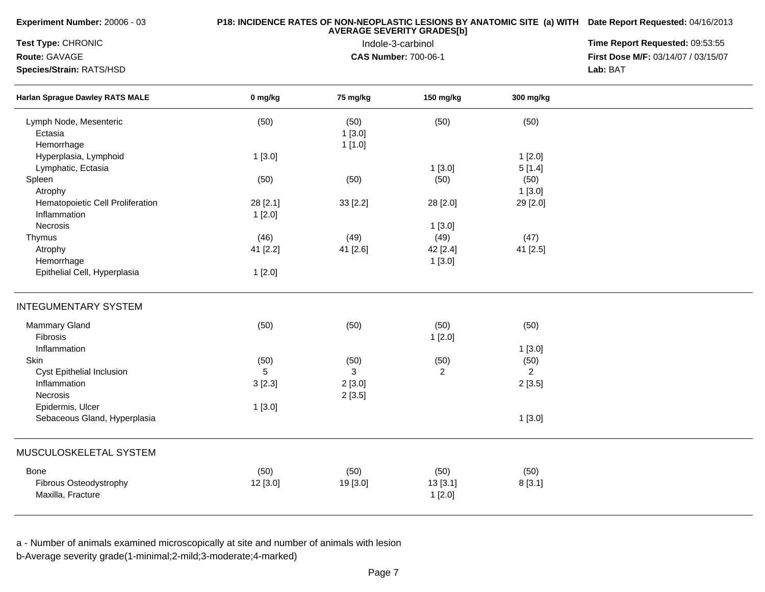|         |                                                                             | P18: INCIDENCE RATES OF NON-NEOPLASTIC LESIONS BY ANATOMIC SITE (a) WITH Date Report Requested: 04/16/2013<br><b>AVERAGE SEVERITY GRADES[b]</b> |                                                                                                                                        |                                                                                                                  |  |  |  |  |
|---------|-----------------------------------------------------------------------------|-------------------------------------------------------------------------------------------------------------------------------------------------|----------------------------------------------------------------------------------------------------------------------------------------|------------------------------------------------------------------------------------------------------------------|--|--|--|--|
|         | Time Report Requested: 09:53:55                                             |                                                                                                                                                 |                                                                                                                                        |                                                                                                                  |  |  |  |  |
|         |                                                                             | Indole-3-carbinol                                                                                                                               |                                                                                                                                        | First Dose M/F: 03/14/07 / 03/15/07                                                                              |  |  |  |  |
|         |                                                                             |                                                                                                                                                 |                                                                                                                                        | Lab: BAT                                                                                                         |  |  |  |  |
| 0 mg/kg | 75 mg/kg                                                                    | 150 mg/kg                                                                                                                                       | 300 mg/kg                                                                                                                              |                                                                                                                  |  |  |  |  |
| (50)    | (50)                                                                        | (50)                                                                                                                                            | (50)                                                                                                                                   |                                                                                                                  |  |  |  |  |
|         | 1[3.0]                                                                      |                                                                                                                                                 |                                                                                                                                        |                                                                                                                  |  |  |  |  |
|         | 1[1.0]                                                                      |                                                                                                                                                 |                                                                                                                                        |                                                                                                                  |  |  |  |  |
|         |                                                                             |                                                                                                                                                 |                                                                                                                                        |                                                                                                                  |  |  |  |  |
|         |                                                                             |                                                                                                                                                 |                                                                                                                                        |                                                                                                                  |  |  |  |  |
|         |                                                                             |                                                                                                                                                 |                                                                                                                                        |                                                                                                                  |  |  |  |  |
|         |                                                                             |                                                                                                                                                 |                                                                                                                                        |                                                                                                                  |  |  |  |  |
|         |                                                                             |                                                                                                                                                 |                                                                                                                                        |                                                                                                                  |  |  |  |  |
|         |                                                                             |                                                                                                                                                 |                                                                                                                                        |                                                                                                                  |  |  |  |  |
|         |                                                                             |                                                                                                                                                 |                                                                                                                                        |                                                                                                                  |  |  |  |  |
|         |                                                                             |                                                                                                                                                 |                                                                                                                                        |                                                                                                                  |  |  |  |  |
|         |                                                                             |                                                                                                                                                 |                                                                                                                                        |                                                                                                                  |  |  |  |  |
|         |                                                                             |                                                                                                                                                 |                                                                                                                                        |                                                                                                                  |  |  |  |  |
| 1[2.0]  |                                                                             |                                                                                                                                                 |                                                                                                                                        |                                                                                                                  |  |  |  |  |
|         |                                                                             |                                                                                                                                                 |                                                                                                                                        |                                                                                                                  |  |  |  |  |
| (50)    | (50)                                                                        | (50)                                                                                                                                            | (50)                                                                                                                                   |                                                                                                                  |  |  |  |  |
|         |                                                                             | 1[2.0]                                                                                                                                          |                                                                                                                                        |                                                                                                                  |  |  |  |  |
|         |                                                                             |                                                                                                                                                 |                                                                                                                                        |                                                                                                                  |  |  |  |  |
| (50)    | (50)                                                                        |                                                                                                                                                 |                                                                                                                                        |                                                                                                                  |  |  |  |  |
| 5       | 3                                                                           | $\overline{2}$                                                                                                                                  | $\overline{2}$                                                                                                                         |                                                                                                                  |  |  |  |  |
| 3[2.3]  | 2[3.0]                                                                      |                                                                                                                                                 |                                                                                                                                        |                                                                                                                  |  |  |  |  |
|         |                                                                             |                                                                                                                                                 |                                                                                                                                        |                                                                                                                  |  |  |  |  |
| 1[3.0]  |                                                                             |                                                                                                                                                 |                                                                                                                                        |                                                                                                                  |  |  |  |  |
|         |                                                                             |                                                                                                                                                 | 1[3.0]                                                                                                                                 |                                                                                                                  |  |  |  |  |
|         |                                                                             |                                                                                                                                                 |                                                                                                                                        |                                                                                                                  |  |  |  |  |
|         |                                                                             |                                                                                                                                                 |                                                                                                                                        |                                                                                                                  |  |  |  |  |
|         |                                                                             |                                                                                                                                                 |                                                                                                                                        |                                                                                                                  |  |  |  |  |
|         |                                                                             |                                                                                                                                                 |                                                                                                                                        |                                                                                                                  |  |  |  |  |
|         | 1[3.0]<br>(50)<br>28 [2.1]<br>1[2.0]<br>(46)<br>41 [2.2]<br>(50)<br>12[3.0] | (50)<br>33 [2.2]<br>(49)<br>41 [2.6]<br>2[3.5]<br>(50)<br>19 [3.0]                                                                              | <b>CAS Number: 700-06-1</b><br>1[3.0]<br>(50)<br>28 [2.0]<br>1[3.0]<br>(49)<br>42 [2.4]<br>1[3.0]<br>(50)<br>(50)<br>13[3.1]<br>1[2.0] | 1[2.0]<br>5[1.4]<br>(50)<br>1[3.0]<br>29 [2.0]<br>(47)<br>41 [2.5]<br>1[3.0]<br>(50)<br>2[3.5]<br>(50)<br>8[3.1] |  |  |  |  |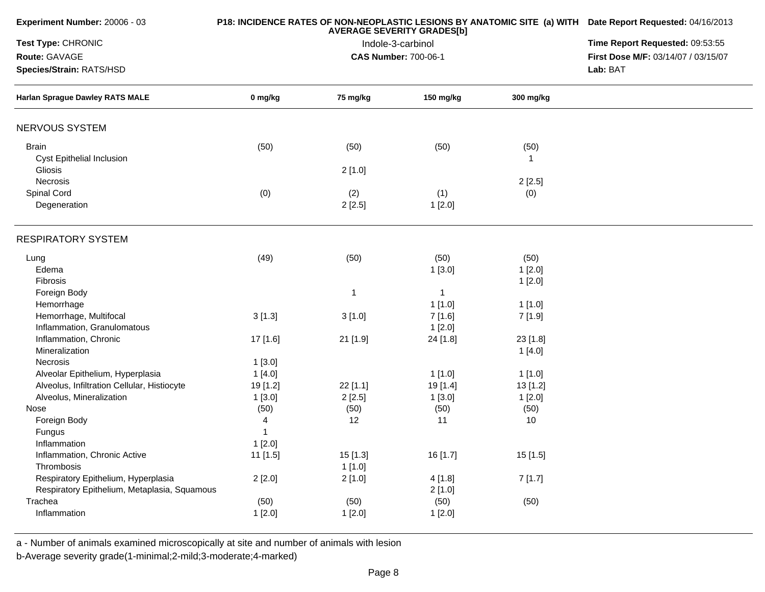| Experiment Number: 20006 - 03                |          | P18: INCIDENCE RATES OF NON-NEOPLASTIC LESIONS BY ANATOMIC SITE (a) WITH Date Report Requested: 04/16/2013<br>Time Report Requested: 09:53:55 |                             |           |                                     |
|----------------------------------------------|----------|-----------------------------------------------------------------------------------------------------------------------------------------------|-----------------------------|-----------|-------------------------------------|
| Test Type: CHRONIC                           |          |                                                                                                                                               |                             |           |                                     |
| Route: GAVAGE                                |          |                                                                                                                                               | <b>CAS Number: 700-06-1</b> |           | First Dose M/F: 03/14/07 / 03/15/07 |
| Species/Strain: RATS/HSD                     |          |                                                                                                                                               |                             |           | Lab: BAT                            |
| <b>Harlan Sprague Dawley RATS MALE</b>       | 0 mg/kg  | 75 mg/kg                                                                                                                                      | 150 mg/kg                   | 300 mg/kg |                                     |
| NERVOUS SYSTEM                               |          |                                                                                                                                               |                             |           |                                     |
| <b>Brain</b>                                 | (50)     | (50)                                                                                                                                          | (50)                        | (50)      |                                     |
| Cyst Epithelial Inclusion                    |          |                                                                                                                                               |                             | 1         |                                     |
| Gliosis                                      |          | 2[1.0]                                                                                                                                        |                             |           |                                     |
| Necrosis                                     |          |                                                                                                                                               |                             | 2[2.5]    |                                     |
| Spinal Cord                                  | (0)      | (2)                                                                                                                                           | (1)                         | (0)       |                                     |
| Degeneration                                 |          | 2[2.5]                                                                                                                                        | 1[2.0]                      |           |                                     |
| <b>RESPIRATORY SYSTEM</b>                    |          |                                                                                                                                               |                             |           |                                     |
| Lung                                         | (49)     | (50)                                                                                                                                          | (50)                        | (50)      |                                     |
| Edema                                        |          |                                                                                                                                               | 1[3.0]                      | 1[2.0]    |                                     |
| Fibrosis                                     |          |                                                                                                                                               |                             | 1[2.0]    |                                     |
| Foreign Body                                 |          | $\mathbf 1$                                                                                                                                   | $\mathbf 1$                 |           |                                     |
| Hemorrhage                                   |          |                                                                                                                                               | 1[1.0]                      | 1[1.0]    |                                     |
| Hemorrhage, Multifocal                       | 3[1.3]   | 3[1.0]                                                                                                                                        | 7 [1.6]                     | 7 [1.9]   |                                     |
| Inflammation, Granulomatous                  |          |                                                                                                                                               | 1[2.0]                      |           |                                     |
| Inflammation, Chronic                        | 17 [1.6] | 21 [1.9]                                                                                                                                      | 24 [1.8]                    | 23 [1.8]  |                                     |
| Mineralization                               |          |                                                                                                                                               |                             | 1[4.0]    |                                     |
| Necrosis                                     | 1[3.0]   |                                                                                                                                               |                             |           |                                     |
| Alveolar Epithelium, Hyperplasia             | 1[4.0]   |                                                                                                                                               | 1[1.0]                      | 1[1.0]    |                                     |
| Alveolus, Infiltration Cellular, Histiocyte  | 19 [1.2] | 22 [1.1]                                                                                                                                      | 19 [1.4]                    | 13[1.2]   |                                     |
| Alveolus, Mineralization                     | 1[3.0]   | 2[2.5]                                                                                                                                        | 1[3.0]                      | 1[2.0]    |                                     |
| Nose                                         | (50)     | (50)                                                                                                                                          | (50)                        | (50)      |                                     |
| Foreign Body                                 | 4        | 12                                                                                                                                            | 11                          | 10        |                                     |
| Fungus                                       |          |                                                                                                                                               |                             |           |                                     |
| Inflammation                                 | 1[2.0]   |                                                                                                                                               |                             |           |                                     |
| Inflammation, Chronic Active                 | 11 [1.5] | 15 [1.3]                                                                                                                                      | 16 [1.7]                    | 15 [1.5]  |                                     |
| Thrombosis                                   |          | 1[1.0]                                                                                                                                        |                             |           |                                     |
| Respiratory Epithelium, Hyperplasia          | 2[2.0]   | 2[1.0]                                                                                                                                        | 4 [1.8]                     | 7[1.7]    |                                     |
| Respiratory Epithelium, Metaplasia, Squamous |          |                                                                                                                                               | 2[1.0]                      |           |                                     |
| Trachea                                      | (50)     | (50)                                                                                                                                          | (50)                        | (50)      |                                     |
| Inflammation                                 | 1[2.0]   | 1[2.0]                                                                                                                                        | 1[2.0]                      |           |                                     |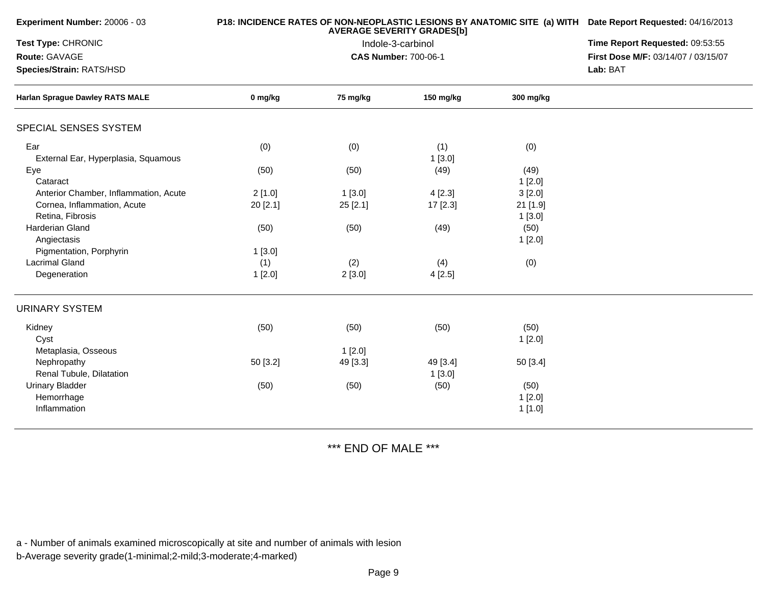| Experiment Number: 20006 - 03          |          | <b>P18: INCIDENCE RATES OF NON-NEOPLASTIC LESIONS BY ANATOMIC SITE (a) WITH Date Report Requested: 04/16/2013</b> |                             |                    |                                     |
|----------------------------------------|----------|-------------------------------------------------------------------------------------------------------------------|-----------------------------|--------------------|-------------------------------------|
| <b>Test Type: CHRONIC</b>              |          | Time Report Requested: 09:53:55                                                                                   |                             |                    |                                     |
| Route: GAVAGE                          |          |                                                                                                                   | <b>CAS Number: 700-06-1</b> |                    | First Dose M/F: 03/14/07 / 03/15/07 |
| Species/Strain: RATS/HSD               |          |                                                                                                                   |                             |                    | Lab: BAT                            |
| <b>Harlan Sprague Dawley RATS MALE</b> | 0 mg/kg  | 75 mg/kg                                                                                                          | 150 mg/kg                   | 300 mg/kg          |                                     |
| SPECIAL SENSES SYSTEM                  |          |                                                                                                                   |                             |                    |                                     |
| Ear                                    | (0)      | (0)                                                                                                               | (1)                         | (0)                |                                     |
| External Ear, Hyperplasia, Squamous    |          |                                                                                                                   | 1[3.0]                      |                    |                                     |
| Eye<br>Cataract                        | (50)     | (50)                                                                                                              | (49)                        | (49)               |                                     |
| Anterior Chamber, Inflammation, Acute  | 2[1.0]   |                                                                                                                   | 4[2.3]                      | 1[2.0]<br>3[2.0]   |                                     |
| Cornea, Inflammation, Acute            |          | 1[3.0]                                                                                                            |                             |                    |                                     |
| Retina, Fibrosis                       | 20 [2.1] | 25 [2.1]                                                                                                          | 17 [2.3]                    | 21 [1.9]<br>1[3.0] |                                     |
| <b>Harderian Gland</b>                 | (50)     | (50)                                                                                                              | (49)                        | (50)               |                                     |
| Angiectasis                            |          |                                                                                                                   |                             | 1[2.0]             |                                     |
| Pigmentation, Porphyrin                | 1[3.0]   |                                                                                                                   |                             |                    |                                     |
| <b>Lacrimal Gland</b>                  | (1)      | (2)                                                                                                               | (4)                         | (0)                |                                     |
| Degeneration                           | 1[2.0]   | 2[3.0]                                                                                                            | 4[2.5]                      |                    |                                     |
| <b>URINARY SYSTEM</b>                  |          |                                                                                                                   |                             |                    |                                     |
| Kidney                                 | (50)     | (50)                                                                                                              | (50)                        | (50)               |                                     |
| Cyst                                   |          |                                                                                                                   |                             | 1[2.0]             |                                     |
| Metaplasia, Osseous                    |          | 1[2.0]                                                                                                            |                             |                    |                                     |
| Nephropathy                            | 50 [3.2] | 49 [3.3]                                                                                                          | 49 [3.4]                    | 50 [3.4]           |                                     |
| Renal Tubule, Dilatation               |          |                                                                                                                   | 1[3.0]                      |                    |                                     |
| <b>Urinary Bladder</b>                 | (50)     | (50)                                                                                                              | (50)                        | (50)               |                                     |
| Hemorrhage                             |          |                                                                                                                   |                             | 1[2.0]             |                                     |
| Inflammation                           |          |                                                                                                                   |                             | 1[1.0]             |                                     |

\*\*\* END OF MALE \*\*\*

a - Number of animals examined microscopically at site and number of animals with lesion

b-Average severity grade(1-minimal;2-mild;3-moderate;4-marked)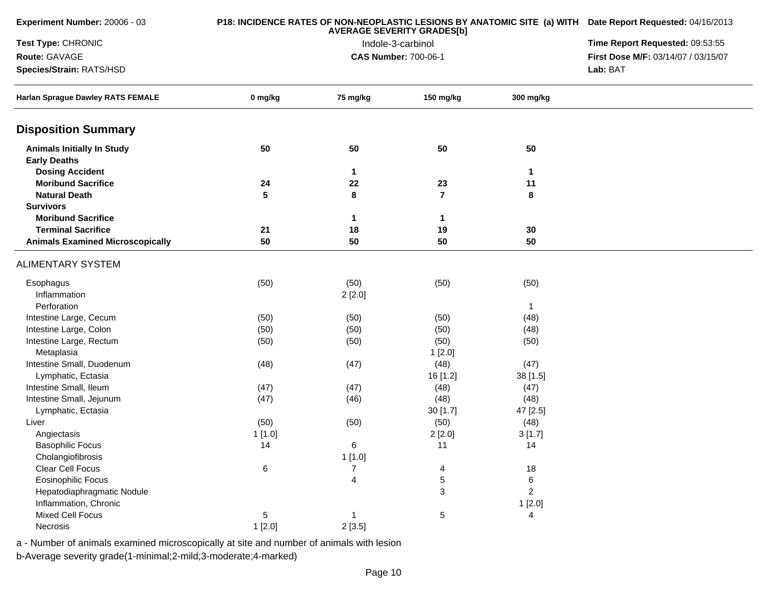| Experiment Number: 20006 - 03                            | P18: INCIDENCE RATES OF NON-NEOPLASTIC LESIONS BY ANATOMIC SITE (a) WITH Date Report Requested: 04/16/2013<br><b>AVERAGE SEVERITY GRADES[b]</b> |                |                             |                | Time Report Requested: 09:53:55     |
|----------------------------------------------------------|-------------------------------------------------------------------------------------------------------------------------------------------------|----------------|-----------------------------|----------------|-------------------------------------|
| Test Type: CHRONIC                                       |                                                                                                                                                 |                |                             |                |                                     |
| Route: GAVAGE                                            |                                                                                                                                                 |                | <b>CAS Number: 700-06-1</b> |                | First Dose M/F: 03/14/07 / 03/15/07 |
| Species/Strain: RATS/HSD                                 |                                                                                                                                                 |                |                             |                | Lab: BAT                            |
| Harlan Sprague Dawley RATS FEMALE                        | 0 mg/kg                                                                                                                                         | 75 mg/kg       | 150 mg/kg                   | 300 mg/kg      |                                     |
| <b>Disposition Summary</b>                               |                                                                                                                                                 |                |                             |                |                                     |
| <b>Animals Initially In Study</b><br><b>Early Deaths</b> | 50                                                                                                                                              | 50             | 50                          | 50             |                                     |
| <b>Dosing Accident</b>                                   |                                                                                                                                                 | $\mathbf{1}$   |                             | 1              |                                     |
| <b>Moribund Sacrifice</b>                                | 24                                                                                                                                              | 22             | 23                          | 11             |                                     |
| <b>Natural Death</b>                                     | 5                                                                                                                                               | 8              | $\overline{7}$              | 8              |                                     |
| <b>Survivors</b>                                         |                                                                                                                                                 |                |                             |                |                                     |
| <b>Moribund Sacrifice</b>                                |                                                                                                                                                 | $\mathbf{1}$   | 1                           |                |                                     |
| <b>Terminal Sacrifice</b>                                | 21                                                                                                                                              | 18             | 19                          | 30             |                                     |
| <b>Animals Examined Microscopically</b>                  | 50                                                                                                                                              | 50             | 50                          | 50             |                                     |
| <b>ALIMENTARY SYSTEM</b>                                 |                                                                                                                                                 |                |                             |                |                                     |
| Esophagus<br>Inflammation                                | (50)                                                                                                                                            | (50)<br>2[2.0] | (50)                        | (50)           |                                     |
| Perforation                                              |                                                                                                                                                 |                |                             | $\mathbf{1}$   |                                     |
| Intestine Large, Cecum                                   | (50)                                                                                                                                            | (50)           | (50)                        | (48)           |                                     |
| Intestine Large, Colon                                   | (50)                                                                                                                                            | (50)           | (50)                        | (48)           |                                     |
| Intestine Large, Rectum                                  | (50)                                                                                                                                            | (50)           | (50)                        | (50)           |                                     |
| Metaplasia                                               |                                                                                                                                                 |                | 1[2.0]                      |                |                                     |
| Intestine Small, Duodenum                                | (48)                                                                                                                                            | (47)           | (48)                        | (47)           |                                     |
| Lymphatic, Ectasia                                       |                                                                                                                                                 |                | 16 [1.2]                    | 38 [1.5]       |                                     |
| Intestine Small, Ileum                                   | (47)                                                                                                                                            | (47)           | (48)                        | (47)           |                                     |
| Intestine Small, Jejunum                                 | (47)                                                                                                                                            | (46)           | (48)                        | (48)           |                                     |
| Lymphatic, Ectasia                                       |                                                                                                                                                 |                | 30[1.7]                     | 47 [2.5]       |                                     |
| Liver                                                    | (50)                                                                                                                                            | (50)           | (50)                        | (48)           |                                     |
| Angiectasis                                              | 1[1.0]                                                                                                                                          |                | 2[2.0]                      | 3[1.7]         |                                     |
| <b>Basophilic Focus</b>                                  | 14                                                                                                                                              | 6              | 11                          | 14             |                                     |
| Cholangiofibrosis                                        |                                                                                                                                                 | 1[1.0]         |                             |                |                                     |
| Clear Cell Focus                                         | 6                                                                                                                                               | $\overline{7}$ | 4                           | 18             |                                     |
| Eosinophilic Focus                                       |                                                                                                                                                 | 4              | 5                           | $\,6$          |                                     |
| Hepatodiaphragmatic Nodule                               |                                                                                                                                                 |                | 3                           | $\overline{c}$ |                                     |
| Inflammation, Chronic                                    |                                                                                                                                                 |                |                             | 1[2.0]         |                                     |
| <b>Mixed Cell Focus</b>                                  | 5                                                                                                                                               | -1             | 5                           | 4              |                                     |
| Necrosis                                                 | 1[2.0]                                                                                                                                          | 2[3.5]         |                             |                |                                     |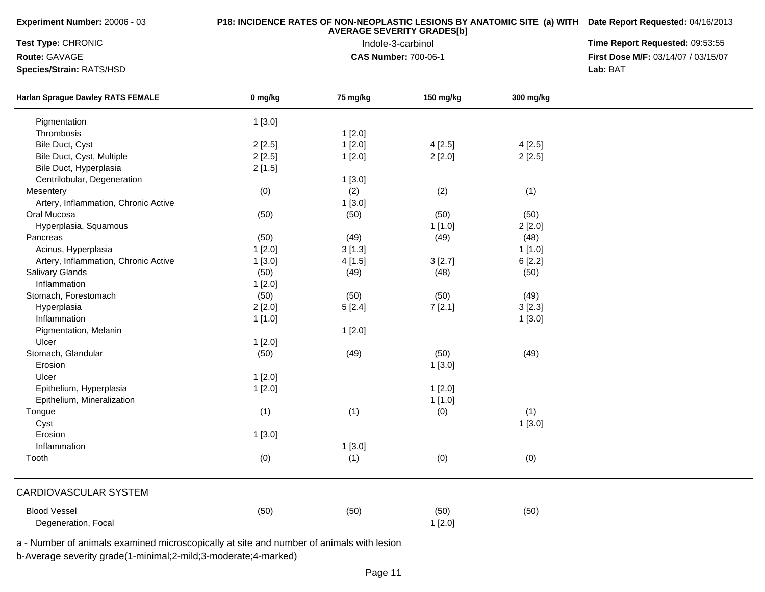**Experiment Number:** 20006 - 03

### **P18: INCIDENCE RATES OF NON-NEOPLASTIC LESIONS BY ANATOMIC SITE (a) WITH AVERAGE SEVERITY GRADES[b] Date Report Requested:** 04/16/2013

**Test Type:** CHRONIC

**Route:** GAVAGE

**Species/Strain:** RATS/HSD

 Indole-3-carbinol **Time Report Requested:** 09:53:55 **First Dose M/F:** 03/14/07 / 03/15/07<br>**Lab: BAT Lab:** BAT

| <b>Harlan Sprague Dawley RATS FEMALE</b>                                                                      | 0 mg/kg | 75 mg/kg | 150 mg/kg | 300 mg/kg |  |
|---------------------------------------------------------------------------------------------------------------|---------|----------|-----------|-----------|--|
| Pigmentation                                                                                                  | 1[3.0]  |          |           |           |  |
| Thrombosis                                                                                                    |         | 1[2.0]   |           |           |  |
| Bile Duct, Cyst                                                                                               | 2[2.5]  | 1[2.0]   | 4[2.5]    | 4[2.5]    |  |
| Bile Duct, Cyst, Multiple                                                                                     | 2[2.5]  | 1[2.0]   | 2[2.0]    | 2[2.5]    |  |
| Bile Duct, Hyperplasia                                                                                        | 2[1.5]  |          |           |           |  |
| Centrilobular, Degeneration                                                                                   |         | 1[3.0]   |           |           |  |
| Mesentery                                                                                                     | (0)     | (2)      | (2)       | (1)       |  |
| Artery, Inflammation, Chronic Active                                                                          |         | 1[3.0]   |           |           |  |
| Oral Mucosa                                                                                                   | (50)    | (50)     | (50)      | (50)      |  |
| Hyperplasia, Squamous                                                                                         |         |          | 1[1.0]    | 2[2.0]    |  |
| Pancreas                                                                                                      | (50)    | (49)     | (49)      | (48)      |  |
| Acinus, Hyperplasia                                                                                           | 1[2.0]  | 3[1.3]   |           | 1[1.0]    |  |
| Artery, Inflammation, Chronic Active                                                                          | 1[3.0]  | 4[1.5]   | 3[2.7]    | 6[2.2]    |  |
| Salivary Glands                                                                                               | (50)    | (49)     | (48)      | (50)      |  |
| Inflammation                                                                                                  | 1[2.0]  |          |           |           |  |
| Stomach, Forestomach                                                                                          | (50)    | (50)     | (50)      | (49)      |  |
| Hyperplasia                                                                                                   | 2[2.0]  | 5[2.4]   | 7[2.1]    | 3[2.3]    |  |
| Inflammation                                                                                                  | 1[1.0]  |          |           | 1[3.0]    |  |
| Pigmentation, Melanin                                                                                         |         | 1[2.0]   |           |           |  |
| Ulcer                                                                                                         | 1[2.0]  |          |           |           |  |
| Stomach, Glandular                                                                                            | (50)    | (49)     | (50)      | (49)      |  |
| Erosion                                                                                                       |         |          | 1[3.0]    |           |  |
| Ulcer                                                                                                         | 1[2.0]  |          |           |           |  |
| Epithelium, Hyperplasia                                                                                       | 1[2.0]  |          | 1[2.0]    |           |  |
| Epithelium, Mineralization                                                                                    |         |          | 1[1.0]    |           |  |
| Tongue                                                                                                        | (1)     | (1)      | (0)       | (1)       |  |
| Cyst                                                                                                          |         |          |           | 1[3.0]    |  |
| Erosion                                                                                                       | 1[3.0]  |          |           |           |  |
| Inflammation                                                                                                  |         | 1[3.0]   |           |           |  |
| Tooth                                                                                                         | (0)     | (1)      | (0)       | (0)       |  |
| CARDIOVASCULAR SYSTEM                                                                                         |         |          |           |           |  |
| <b>Blood Vessel</b>                                                                                           | (50)    | (50)     | (50)      | (50)      |  |
| Degeneration, Focal<br>a Number of animals examined microscopically at site and number of animals with locion |         |          | 1[2.0]    |           |  |

a - Number of animals examined microscopically at site and number of animals with lesion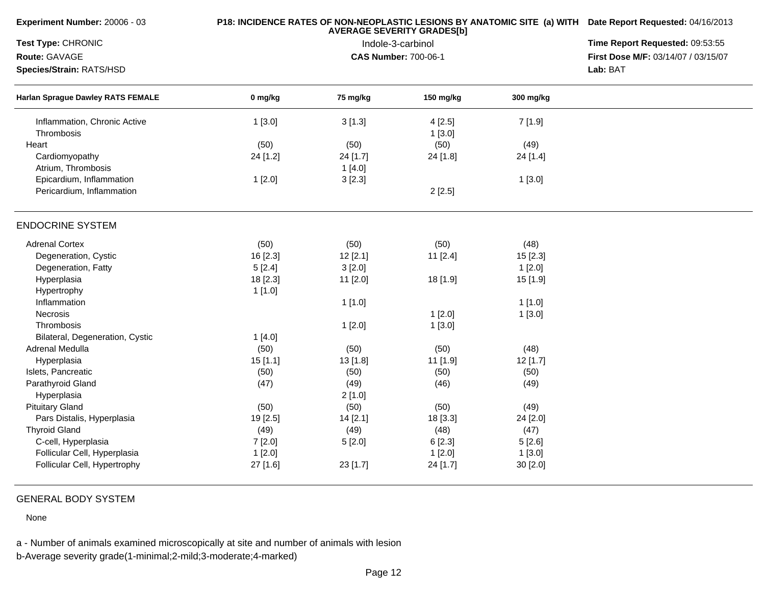| Experiment Number: 20006 - 03                                        |          | P18: INCIDENCE RATES OF NON-NEOPLASTIC LESIONS BY ANATOMIC SITE (a) WITH Date Report Requested: 04/16/2013<br>Time Report Requested: 09:53:55 |                             |           |                                     |
|----------------------------------------------------------------------|----------|-----------------------------------------------------------------------------------------------------------------------------------------------|-----------------------------|-----------|-------------------------------------|
| Test Type: CHRONIC                                                   |          |                                                                                                                                               |                             |           |                                     |
| Route: GAVAGE                                                        |          |                                                                                                                                               | <b>CAS Number: 700-06-1</b> |           | First Dose M/F: 03/14/07 / 03/15/07 |
| Species/Strain: RATS/HSD<br><b>Harlan Sprague Dawley RATS FEMALE</b> |          | Lab: BAT                                                                                                                                      |                             |           |                                     |
|                                                                      | 0 mg/kg  | 75 mg/kg                                                                                                                                      | 150 mg/kg                   | 300 mg/kg |                                     |
| Inflammation, Chronic Active<br>Thrombosis                           | 1[3.0]   | 3[1.3]                                                                                                                                        | 4[2.5]<br>1[3.0]            | 7 [1.9]   |                                     |
| Heart                                                                | (50)     | (50)                                                                                                                                          | (50)                        | (49)      |                                     |
| Cardiomyopathy<br>Atrium, Thrombosis                                 | 24 [1.2] | 24 [1.7]                                                                                                                                      | 24 [1.8]                    | 24 [1.4]  |                                     |
| Epicardium, Inflammation                                             | 1[2.0]   | 1 [4.0]<br>3[2.3]                                                                                                                             |                             | 1[3.0]    |                                     |
| Pericardium, Inflammation                                            |          |                                                                                                                                               | 2[2.5]                      |           |                                     |
| <b>ENDOCRINE SYSTEM</b>                                              |          |                                                                                                                                               |                             |           |                                     |
| <b>Adrenal Cortex</b>                                                | (50)     | (50)                                                                                                                                          | (50)                        | (48)      |                                     |
| Degeneration, Cystic                                                 | 16 [2.3] | 12[2.1]                                                                                                                                       | 11 [2.4]                    | 15 [2.3]  |                                     |
| Degeneration, Fatty                                                  | 5[2.4]   | 3[2.0]                                                                                                                                        |                             | 1[2.0]    |                                     |
| Hyperplasia                                                          | 18 [2.3] | 11 [2.0]                                                                                                                                      | 18 [1.9]                    | 15 [1.9]  |                                     |
| Hypertrophy                                                          | 1[1.0]   |                                                                                                                                               |                             |           |                                     |
| Inflammation                                                         |          | 1[1.0]                                                                                                                                        |                             | 1[1.0]    |                                     |
| Necrosis                                                             |          |                                                                                                                                               | 1[2.0]                      | 1[3.0]    |                                     |
| Thrombosis                                                           |          | 1[2.0]                                                                                                                                        | 1[3.0]                      |           |                                     |
| Bilateral, Degeneration, Cystic                                      | 1[4.0]   |                                                                                                                                               |                             |           |                                     |
| Adrenal Medulla                                                      | (50)     | (50)                                                                                                                                          | (50)                        | (48)      |                                     |
| Hyperplasia                                                          | 15[1.1]  | 13 [1.8]                                                                                                                                      | 11 [1.9]                    | 12 [1.7]  |                                     |
| Islets, Pancreatic                                                   | (50)     | (50)                                                                                                                                          | (50)                        | (50)      |                                     |
| Parathyroid Gland                                                    | (47)     | (49)                                                                                                                                          | (46)                        | (49)      |                                     |
| Hyperplasia                                                          |          | 2[1.0]                                                                                                                                        |                             |           |                                     |
| <b>Pituitary Gland</b>                                               | (50)     | (50)                                                                                                                                          | (50)                        | (49)      |                                     |
| Pars Distalis, Hyperplasia                                           | 19 [2.5] | 14 [2.1]                                                                                                                                      | 18 [3.3]                    | 24 [2.0]  |                                     |
| <b>Thyroid Gland</b>                                                 | (49)     | (49)                                                                                                                                          | (48)                        | (47)      |                                     |
| C-cell, Hyperplasia                                                  | 7[2.0]   | 5[2.0]                                                                                                                                        | 6[2.3]                      | 5[2.6]    |                                     |
| Follicular Cell, Hyperplasia                                         | 1[2.0]   |                                                                                                                                               | 1[2.0]                      | 1[3.0]    |                                     |
| Follicular Cell, Hypertrophy                                         | 27 [1.6] | 23 [1.7]                                                                                                                                      | 24 [1.7]                    | 30 [2.0]  |                                     |

# GENERAL BODY SYSTEM

None

a - Number of animals examined microscopically at site and number of animals with lesion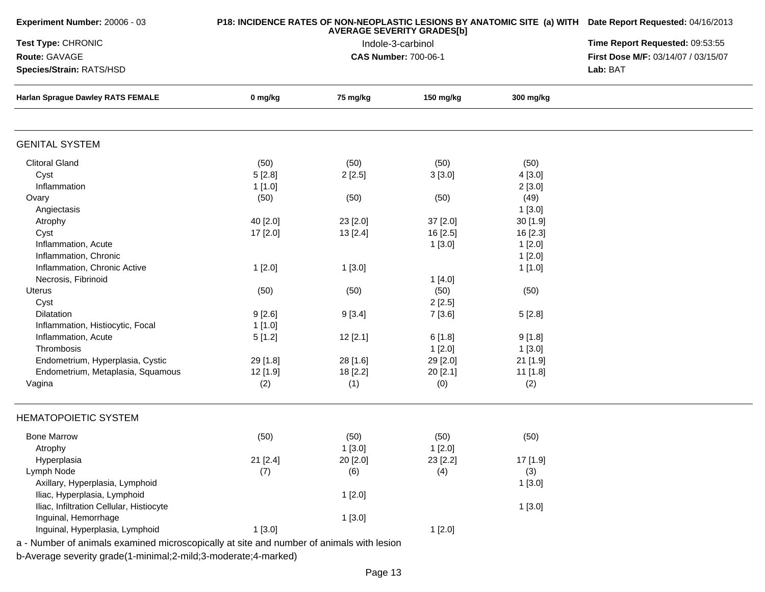| <b>AVERAGE SEVERITY GRADES[b]</b><br>Test Type: CHRONIC<br>Indole-3-carbinol<br>Route: GAVAGE<br><b>CAS Number: 700-06-1</b><br>Species/Strain: RATS/HSD<br><b>Harlan Sprague Dawley RATS FEMALE</b><br>0 mg/kg<br>75 mg/kg<br>150 mg/kg<br>300 mg/kg<br><b>GENITAL SYSTEM</b><br><b>Clitoral Gland</b><br>(50)<br>(50)<br>(50)<br>(50)<br>5[2.8]<br>Cyst<br>2[2.5]<br>3[3.0]<br>4[3.0]<br>Inflammation<br>1 [1.0]<br>2[3.0]<br>(50)<br>(50)<br>(50)<br>(49)<br>Ovary<br>1[3.0]<br>Angiectasis<br>40 [2.0]<br>23 [2.0]<br>37 [2.0]<br>30 [1.9]<br>Atrophy<br>Cyst<br>13 [2.4]<br>16 [2.5]<br>17 [2.0]<br>16 [2.3]<br>Inflammation, Acute<br>1[3.0]<br>1[2.0]<br>Inflammation, Chronic<br>1[2.0]<br>Inflammation, Chronic Active<br>1[2.0]<br>1[3.0]<br>1[1.0]<br>Necrosis, Fibrinoid<br>1[4.0]<br>(50)<br>(50)<br>Uterus<br>(50)<br>(50)<br>Cyst<br>2[2.5]<br><b>Dilatation</b><br>9[2.6]<br>9[3.4]<br>7 [3.6]<br>5[2.8]<br>Inflammation, Histiocytic, Focal<br>1 [1.0]<br>Inflammation, Acute<br>12[2.1]<br>6[1.8]<br>5[1.2]<br>9[1.8]<br>Thrombosis<br>1[2.0]<br>1[3.0]<br>Endometrium, Hyperplasia, Cystic<br>29 [2.0]<br>29 [1.8]<br>28 [1.6]<br>21 [1.9]<br>Endometrium, Metaplasia, Squamous<br>20 [2.1]<br>12 [1.9]<br>18 [2.2]<br>11 [1.8]<br>(2)<br>(1)<br>(0)<br>(2)<br>Vagina<br><b>HEMATOPOIETIC SYSTEM</b><br><b>Bone Marrow</b><br>(50)<br>(50)<br>(50)<br>(50)<br>1[3.0]<br>1[2.0]<br>Atrophy<br>21 [2.4]<br>20 [2.0]<br>23 [2.2]<br>17 [1.9]<br>Hyperplasia | P18: INCIDENCE RATES OF NON-NEOPLASTIC LESIONS BY ANATOMIC SITE (a) WITH Date Report Requested: 04/16/2013<br>Time Report Requested: 09:53:55 |
|-----------------------------------------------------------------------------------------------------------------------------------------------------------------------------------------------------------------------------------------------------------------------------------------------------------------------------------------------------------------------------------------------------------------------------------------------------------------------------------------------------------------------------------------------------------------------------------------------------------------------------------------------------------------------------------------------------------------------------------------------------------------------------------------------------------------------------------------------------------------------------------------------------------------------------------------------------------------------------------------------------------------------------------------------------------------------------------------------------------------------------------------------------------------------------------------------------------------------------------------------------------------------------------------------------------------------------------------------------------------------------------------------------------------------------------------------------------------------------|-----------------------------------------------------------------------------------------------------------------------------------------------|
|                                                                                                                                                                                                                                                                                                                                                                                                                                                                                                                                                                                                                                                                                                                                                                                                                                                                                                                                                                                                                                                                                                                                                                                                                                                                                                                                                                                                                                                                             |                                                                                                                                               |
|                                                                                                                                                                                                                                                                                                                                                                                                                                                                                                                                                                                                                                                                                                                                                                                                                                                                                                                                                                                                                                                                                                                                                                                                                                                                                                                                                                                                                                                                             | First Dose M/F: 03/14/07 / 03/15/07                                                                                                           |
|                                                                                                                                                                                                                                                                                                                                                                                                                                                                                                                                                                                                                                                                                                                                                                                                                                                                                                                                                                                                                                                                                                                                                                                                                                                                                                                                                                                                                                                                             | Lab: BAT                                                                                                                                      |
|                                                                                                                                                                                                                                                                                                                                                                                                                                                                                                                                                                                                                                                                                                                                                                                                                                                                                                                                                                                                                                                                                                                                                                                                                                                                                                                                                                                                                                                                             |                                                                                                                                               |
|                                                                                                                                                                                                                                                                                                                                                                                                                                                                                                                                                                                                                                                                                                                                                                                                                                                                                                                                                                                                                                                                                                                                                                                                                                                                                                                                                                                                                                                                             |                                                                                                                                               |
|                                                                                                                                                                                                                                                                                                                                                                                                                                                                                                                                                                                                                                                                                                                                                                                                                                                                                                                                                                                                                                                                                                                                                                                                                                                                                                                                                                                                                                                                             |                                                                                                                                               |
|                                                                                                                                                                                                                                                                                                                                                                                                                                                                                                                                                                                                                                                                                                                                                                                                                                                                                                                                                                                                                                                                                                                                                                                                                                                                                                                                                                                                                                                                             |                                                                                                                                               |
|                                                                                                                                                                                                                                                                                                                                                                                                                                                                                                                                                                                                                                                                                                                                                                                                                                                                                                                                                                                                                                                                                                                                                                                                                                                                                                                                                                                                                                                                             |                                                                                                                                               |
|                                                                                                                                                                                                                                                                                                                                                                                                                                                                                                                                                                                                                                                                                                                                                                                                                                                                                                                                                                                                                                                                                                                                                                                                                                                                                                                                                                                                                                                                             |                                                                                                                                               |
|                                                                                                                                                                                                                                                                                                                                                                                                                                                                                                                                                                                                                                                                                                                                                                                                                                                                                                                                                                                                                                                                                                                                                                                                                                                                                                                                                                                                                                                                             |                                                                                                                                               |
|                                                                                                                                                                                                                                                                                                                                                                                                                                                                                                                                                                                                                                                                                                                                                                                                                                                                                                                                                                                                                                                                                                                                                                                                                                                                                                                                                                                                                                                                             |                                                                                                                                               |
|                                                                                                                                                                                                                                                                                                                                                                                                                                                                                                                                                                                                                                                                                                                                                                                                                                                                                                                                                                                                                                                                                                                                                                                                                                                                                                                                                                                                                                                                             |                                                                                                                                               |
|                                                                                                                                                                                                                                                                                                                                                                                                                                                                                                                                                                                                                                                                                                                                                                                                                                                                                                                                                                                                                                                                                                                                                                                                                                                                                                                                                                                                                                                                             |                                                                                                                                               |
|                                                                                                                                                                                                                                                                                                                                                                                                                                                                                                                                                                                                                                                                                                                                                                                                                                                                                                                                                                                                                                                                                                                                                                                                                                                                                                                                                                                                                                                                             |                                                                                                                                               |
|                                                                                                                                                                                                                                                                                                                                                                                                                                                                                                                                                                                                                                                                                                                                                                                                                                                                                                                                                                                                                                                                                                                                                                                                                                                                                                                                                                                                                                                                             |                                                                                                                                               |
|                                                                                                                                                                                                                                                                                                                                                                                                                                                                                                                                                                                                                                                                                                                                                                                                                                                                                                                                                                                                                                                                                                                                                                                                                                                                                                                                                                                                                                                                             |                                                                                                                                               |
|                                                                                                                                                                                                                                                                                                                                                                                                                                                                                                                                                                                                                                                                                                                                                                                                                                                                                                                                                                                                                                                                                                                                                                                                                                                                                                                                                                                                                                                                             |                                                                                                                                               |
|                                                                                                                                                                                                                                                                                                                                                                                                                                                                                                                                                                                                                                                                                                                                                                                                                                                                                                                                                                                                                                                                                                                                                                                                                                                                                                                                                                                                                                                                             |                                                                                                                                               |
|                                                                                                                                                                                                                                                                                                                                                                                                                                                                                                                                                                                                                                                                                                                                                                                                                                                                                                                                                                                                                                                                                                                                                                                                                                                                                                                                                                                                                                                                             |                                                                                                                                               |
|                                                                                                                                                                                                                                                                                                                                                                                                                                                                                                                                                                                                                                                                                                                                                                                                                                                                                                                                                                                                                                                                                                                                                                                                                                                                                                                                                                                                                                                                             |                                                                                                                                               |
|                                                                                                                                                                                                                                                                                                                                                                                                                                                                                                                                                                                                                                                                                                                                                                                                                                                                                                                                                                                                                                                                                                                                                                                                                                                                                                                                                                                                                                                                             |                                                                                                                                               |
|                                                                                                                                                                                                                                                                                                                                                                                                                                                                                                                                                                                                                                                                                                                                                                                                                                                                                                                                                                                                                                                                                                                                                                                                                                                                                                                                                                                                                                                                             |                                                                                                                                               |
|                                                                                                                                                                                                                                                                                                                                                                                                                                                                                                                                                                                                                                                                                                                                                                                                                                                                                                                                                                                                                                                                                                                                                                                                                                                                                                                                                                                                                                                                             |                                                                                                                                               |
|                                                                                                                                                                                                                                                                                                                                                                                                                                                                                                                                                                                                                                                                                                                                                                                                                                                                                                                                                                                                                                                                                                                                                                                                                                                                                                                                                                                                                                                                             |                                                                                                                                               |
|                                                                                                                                                                                                                                                                                                                                                                                                                                                                                                                                                                                                                                                                                                                                                                                                                                                                                                                                                                                                                                                                                                                                                                                                                                                                                                                                                                                                                                                                             |                                                                                                                                               |
|                                                                                                                                                                                                                                                                                                                                                                                                                                                                                                                                                                                                                                                                                                                                                                                                                                                                                                                                                                                                                                                                                                                                                                                                                                                                                                                                                                                                                                                                             |                                                                                                                                               |
|                                                                                                                                                                                                                                                                                                                                                                                                                                                                                                                                                                                                                                                                                                                                                                                                                                                                                                                                                                                                                                                                                                                                                                                                                                                                                                                                                                                                                                                                             |                                                                                                                                               |
|                                                                                                                                                                                                                                                                                                                                                                                                                                                                                                                                                                                                                                                                                                                                                                                                                                                                                                                                                                                                                                                                                                                                                                                                                                                                                                                                                                                                                                                                             |                                                                                                                                               |
|                                                                                                                                                                                                                                                                                                                                                                                                                                                                                                                                                                                                                                                                                                                                                                                                                                                                                                                                                                                                                                                                                                                                                                                                                                                                                                                                                                                                                                                                             |                                                                                                                                               |
|                                                                                                                                                                                                                                                                                                                                                                                                                                                                                                                                                                                                                                                                                                                                                                                                                                                                                                                                                                                                                                                                                                                                                                                                                                                                                                                                                                                                                                                                             |                                                                                                                                               |
| Lymph Node<br>(7)<br>(4)<br>(6)<br>(3)                                                                                                                                                                                                                                                                                                                                                                                                                                                                                                                                                                                                                                                                                                                                                                                                                                                                                                                                                                                                                                                                                                                                                                                                                                                                                                                                                                                                                                      |                                                                                                                                               |
| Axillary, Hyperplasia, Lymphoid<br>1[3.0]                                                                                                                                                                                                                                                                                                                                                                                                                                                                                                                                                                                                                                                                                                                                                                                                                                                                                                                                                                                                                                                                                                                                                                                                                                                                                                                                                                                                                                   |                                                                                                                                               |
| Iliac, Hyperplasia, Lymphoid<br>1[2.0]                                                                                                                                                                                                                                                                                                                                                                                                                                                                                                                                                                                                                                                                                                                                                                                                                                                                                                                                                                                                                                                                                                                                                                                                                                                                                                                                                                                                                                      |                                                                                                                                               |
| Iliac, Infiltration Cellular, Histiocyte<br>1[3.0]                                                                                                                                                                                                                                                                                                                                                                                                                                                                                                                                                                                                                                                                                                                                                                                                                                                                                                                                                                                                                                                                                                                                                                                                                                                                                                                                                                                                                          |                                                                                                                                               |
| Inguinal, Hemorrhage<br>1[3.0]                                                                                                                                                                                                                                                                                                                                                                                                                                                                                                                                                                                                                                                                                                                                                                                                                                                                                                                                                                                                                                                                                                                                                                                                                                                                                                                                                                                                                                              |                                                                                                                                               |
| Inguinal, Hyperplasia, Lymphoid<br>1[3.0]<br>1[2.0]                                                                                                                                                                                                                                                                                                                                                                                                                                                                                                                                                                                                                                                                                                                                                                                                                                                                                                                                                                                                                                                                                                                                                                                                                                                                                                                                                                                                                         |                                                                                                                                               |
|                                                                                                                                                                                                                                                                                                                                                                                                                                                                                                                                                                                                                                                                                                                                                                                                                                                                                                                                                                                                                                                                                                                                                                                                                                                                                                                                                                                                                                                                             |                                                                                                                                               |
| a - Number of animals examined microscopically at site and number of animals with lesion<br>b-Average severity grade(1-minimal;2-mild;3-moderate;4-marked)                                                                                                                                                                                                                                                                                                                                                                                                                                                                                                                                                                                                                                                                                                                                                                                                                                                                                                                                                                                                                                                                                                                                                                                                                                                                                                                  |                                                                                                                                               |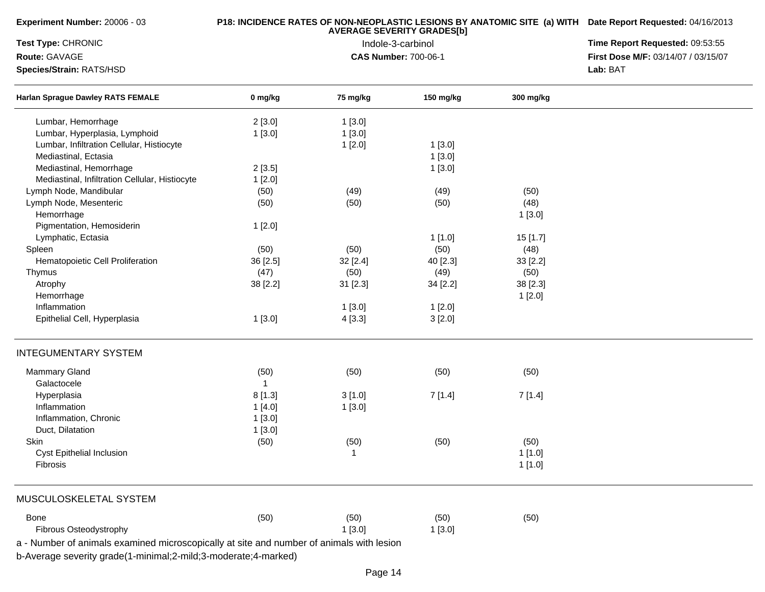| Experiment Number: 20006 - 03                  |              | P18: INCIDENCE RATES OF NON-NEOPLASTIC LESIONS BY ANATOMIC SITE (a) WITH Date Report Requested: 04/16/2013<br>Time Report Requested: 09:53:55 |           |           |                                     |
|------------------------------------------------|--------------|-----------------------------------------------------------------------------------------------------------------------------------------------|-----------|-----------|-------------------------------------|
| Test Type: CHRONIC                             |              |                                                                                                                                               |           |           |                                     |
| Route: GAVAGE                                  |              | <b>CAS Number: 700-06-1</b>                                                                                                                   |           |           | First Dose M/F: 03/14/07 / 03/15/07 |
| Species/Strain: RATS/HSD                       |              | Lab: BAT                                                                                                                                      |           |           |                                     |
| <b>Harlan Sprague Dawley RATS FEMALE</b>       | 0 mg/kg      | 75 mg/kg                                                                                                                                      | 150 mg/kg | 300 mg/kg |                                     |
| Lumbar, Hemorrhage                             | 2[3.0]       | 1[3.0]                                                                                                                                        |           |           |                                     |
| Lumbar, Hyperplasia, Lymphoid                  | 1[3.0]       | 1[3.0]                                                                                                                                        |           |           |                                     |
| Lumbar, Infiltration Cellular, Histiocyte      |              | 1[2.0]                                                                                                                                        | 1[3.0]    |           |                                     |
| Mediastinal, Ectasia                           |              |                                                                                                                                               | 1[3.0]    |           |                                     |
| Mediastinal, Hemorrhage                        | 2[3.5]       |                                                                                                                                               | 1[3.0]    |           |                                     |
| Mediastinal, Infiltration Cellular, Histiocyte | 1[2.0]       |                                                                                                                                               |           |           |                                     |
| Lymph Node, Mandibular                         | (50)         | (49)                                                                                                                                          | (49)      | (50)      |                                     |
| Lymph Node, Mesenteric                         | (50)         | (50)                                                                                                                                          | (50)      | (48)      |                                     |
| Hemorrhage                                     |              |                                                                                                                                               |           | 1[3.0]    |                                     |
| Pigmentation, Hemosiderin                      | 1[2.0]       |                                                                                                                                               |           |           |                                     |
| Lymphatic, Ectasia                             |              |                                                                                                                                               | 1[1.0]    | 15 [1.7]  |                                     |
| Spleen                                         | (50)         | (50)                                                                                                                                          | (50)      | (48)      |                                     |
| Hematopoietic Cell Proliferation               | 36 [2.5]     | 32 [2.4]                                                                                                                                      | 40 [2.3]  | 33 [2.2]  |                                     |
| Thymus                                         | (47)         | (50)                                                                                                                                          | (49)      | (50)      |                                     |
| Atrophy                                        | 38 [2.2]     |                                                                                                                                               | 34 [2.2]  | 38 [2.3]  |                                     |
| Hemorrhage                                     |              | 31 [2.3]                                                                                                                                      |           |           |                                     |
| Inflammation                                   |              |                                                                                                                                               |           | 1[2.0]    |                                     |
|                                                |              | 1[3.0]                                                                                                                                        | 1[2.0]    |           |                                     |
| Epithelial Cell, Hyperplasia                   | 1[3.0]       | 4 [3.3]                                                                                                                                       | 3[2.0]    |           |                                     |
| <b>INTEGUMENTARY SYSTEM</b>                    |              |                                                                                                                                               |           |           |                                     |
| Mammary Gland                                  | (50)         | (50)                                                                                                                                          | (50)      | (50)      |                                     |
| Galactocele                                    | $\mathbf{1}$ |                                                                                                                                               |           |           |                                     |
| Hyperplasia                                    | 8[1.3]       | 3[1.0]                                                                                                                                        | 7[1.4]    | 7[1.4]    |                                     |
| Inflammation                                   | 1[4.0]       | 1[3.0]                                                                                                                                        |           |           |                                     |
| Inflammation, Chronic                          | 1[3.0]       |                                                                                                                                               |           |           |                                     |
| Duct, Dilatation                               | 1[3.0]       |                                                                                                                                               |           |           |                                     |
| Skin                                           | (50)         | (50)                                                                                                                                          | (50)      | (50)      |                                     |
| Cyst Epithelial Inclusion                      |              | $\mathbf{1}$                                                                                                                                  |           | 1[1.0]    |                                     |
| Fibrosis                                       |              |                                                                                                                                               |           | 1[1.0]    |                                     |
|                                                |              |                                                                                                                                               |           |           |                                     |
| MUSCULOSKELETAL SYSTEM                         |              |                                                                                                                                               |           |           |                                     |
| Bone                                           | (50)         | (50)                                                                                                                                          | (50)      | (50)      |                                     |
| Fibrous Osteodystrophy                         |              | 1[3.0]                                                                                                                                        | 1[3.0]    |           |                                     |

b-Average severity grade(1-minimal;2-mild;3-moderate;4-marked)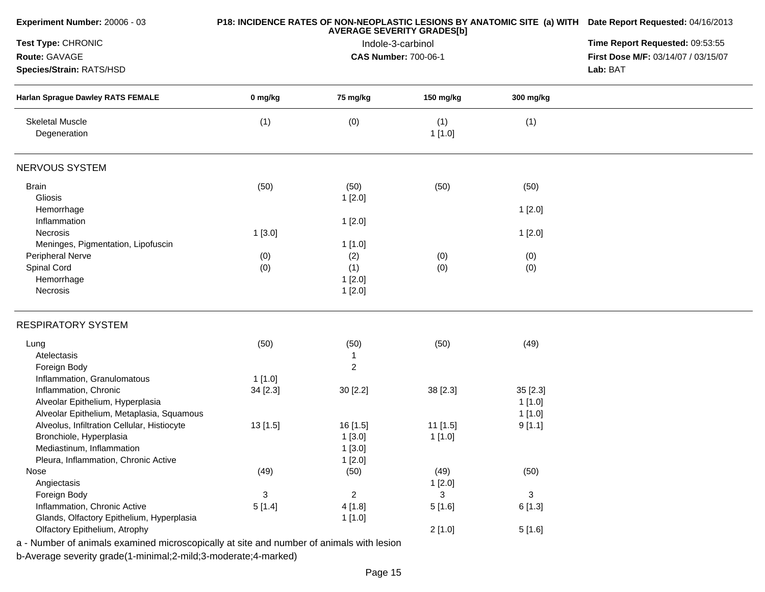| Experiment Number: 20006 - 03                                                            |          | P18: INCIDENCE RATES OF NON-NEOPLASTIC LESIONS BY ANATOMIC SITE (a) WITH Date Report Requested: 04/16/2013 |                                 |              |                                     |
|------------------------------------------------------------------------------------------|----------|------------------------------------------------------------------------------------------------------------|---------------------------------|--------------|-------------------------------------|
| Test Type: CHRONIC                                                                       |          | <b>AVERAGE SEVERITY GRADES[b]</b><br>Indole-3-carbinol                                                     | Time Report Requested: 09:53:55 |              |                                     |
| Route: GAVAGE                                                                            |          |                                                                                                            | <b>CAS Number: 700-06-1</b>     |              | First Dose M/F: 03/14/07 / 03/15/07 |
| Species/Strain: RATS/HSD                                                                 |          |                                                                                                            | Lab: BAT                        |              |                                     |
| <b>Harlan Sprague Dawley RATS FEMALE</b>                                                 | 0 mg/kg  | 75 mg/kg                                                                                                   | 150 mg/kg                       | 300 mg/kg    |                                     |
| <b>Skeletal Muscle</b><br>Degeneration                                                   | (1)      | (0)                                                                                                        | (1)<br>1[1.0]                   | (1)          |                                     |
| NERVOUS SYSTEM                                                                           |          |                                                                                                            |                                 |              |                                     |
| <b>Brain</b>                                                                             | (50)     | (50)                                                                                                       | (50)                            | (50)         |                                     |
| Gliosis                                                                                  |          | 1[2.0]                                                                                                     |                                 |              |                                     |
| Hemorrhage                                                                               |          |                                                                                                            |                                 | 1[2.0]       |                                     |
| Inflammation                                                                             |          | 1[2.0]                                                                                                     |                                 |              |                                     |
| <b>Necrosis</b>                                                                          | 1[3.0]   |                                                                                                            |                                 | 1[2.0]       |                                     |
| Meninges, Pigmentation, Lipofuscin<br>Peripheral Nerve                                   |          | 1 [1.0]                                                                                                    |                                 |              |                                     |
| Spinal Cord                                                                              | (0)      | (2)<br>(1)                                                                                                 | (0)<br>(0)                      | (0)          |                                     |
| Hemorrhage                                                                               | (0)      | 1[2.0]                                                                                                     |                                 | (0)          |                                     |
| Necrosis                                                                                 |          | 1[2.0]                                                                                                     |                                 |              |                                     |
|                                                                                          |          |                                                                                                            |                                 |              |                                     |
| <b>RESPIRATORY SYSTEM</b>                                                                |          |                                                                                                            |                                 |              |                                     |
| Lung                                                                                     | (50)     | (50)                                                                                                       | (50)                            | (49)         |                                     |
| Atelectasis                                                                              |          | 1                                                                                                          |                                 |              |                                     |
| Foreign Body                                                                             |          | $\overline{c}$                                                                                             |                                 |              |                                     |
| Inflammation, Granulomatous                                                              | 1[1.0]   |                                                                                                            |                                 |              |                                     |
| Inflammation, Chronic                                                                    | 34 [2.3] | 30 [2.2]                                                                                                   | 38 [2.3]                        | 35 [2.3]     |                                     |
| Alveolar Epithelium, Hyperplasia                                                         |          |                                                                                                            |                                 | 1[1.0]       |                                     |
| Alveolar Epithelium, Metaplasia, Squamous                                                |          |                                                                                                            |                                 | 1[1.0]       |                                     |
| Alveolus, Infiltration Cellular, Histiocyte                                              | 13[1.5]  | 16 [1.5]                                                                                                   | 11 [1.5]                        | 9[1.1]       |                                     |
| Bronchiole, Hyperplasia                                                                  |          | 1[3.0]                                                                                                     | 1[1.0]                          |              |                                     |
| Mediastinum, Inflammation                                                                |          | 1[3.0]                                                                                                     |                                 |              |                                     |
| Pleura, Inflammation, Chronic Active                                                     |          | 1[2.0]                                                                                                     |                                 |              |                                     |
| Nose                                                                                     | (49)     | (50)                                                                                                       | (49)                            | (50)         |                                     |
| Angiectasis                                                                              |          |                                                                                                            | 1[2.0]                          |              |                                     |
| Foreign Body                                                                             | 3        | $\overline{a}$                                                                                             | 3                               | $\mathbf{3}$ |                                     |
| Inflammation, Chronic Active                                                             | 5[1.4]   | 4 [1.8]                                                                                                    | 5[1.6]                          | 6 [1.3]      |                                     |
| Glands, Olfactory Epithelium, Hyperplasia                                                |          | 1[1.0]                                                                                                     |                                 |              |                                     |
| Olfactory Epithelium, Atrophy                                                            |          |                                                                                                            | 2[1.0]                          | 5[1.6]       |                                     |
| a - Number of animals examined microscopically at site and number of animals with lesion |          |                                                                                                            |                                 |              |                                     |